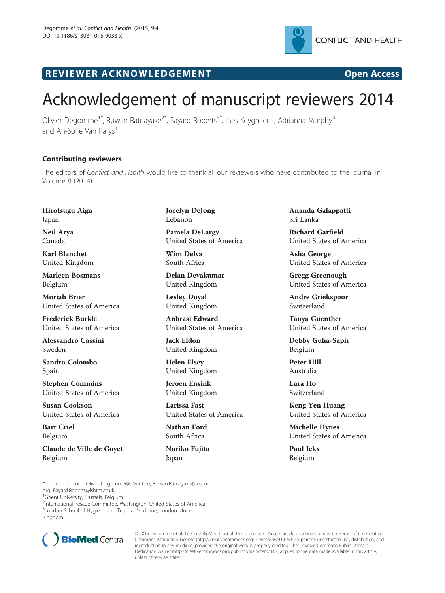

## R EVI EW E R ACKNOW L EDG EM EN T Open Access



## Acknowledgement of manuscript reviewers 2014

Olivier Degomme<sup>1\*</sup>, Ruwan Ratnayake<sup>2\*</sup>, Bayard Roberts<sup>3\*</sup>, Ines Keygnaert<sup>1</sup>, Adrianna Murphy<sup>3</sup> and An-Sofie Van Parys<sup>1</sup>

## Contributing reviewers

The editors of Conflict and Health would like to thank all our reviewers who have contributed to the journal in Volume 8 (2014).

Hirotsugu Aiga Japan

Neil Arya Canada

Karl Blanchet United Kingdom

Marleen Bosmans Belgium

Moriah Brier United States of America

Frederick Burkle United States of America

Alessandro Cassini Sweden

Sandro Colombo Spain

Stephen Commins United States of America

Susan Cookson United States of America

Bart Criel Belgium

Claude de Ville de Goyet Belgium

Jocelyn DeJong Lebanon

Pamela DeLargy United States of America

Wim Delva South Africa

Delan Devakumar United Kingdom

Lesley Doyal United Kingdom

Anbrasi Edward United States of America

Jack Eldon United Kingdom

Helen Elsey United Kingdom

Jeroen Ensink United Kingdom

Larissa Fast United States of America

Nathan Ford South Africa

Noriko Fujita Japan

Ananda Galappatti Sri Lanka

Richard Garfield United States of America

Asha George United States of America

Gregg Greenough United States of America

Andre Griekspoor Switzerland

Tanya Guenther United States of America

Debby Guha-Sapir Belgium

Peter Hill Australia

Lara Ho Switzerland

Keng-Yen Huang United States of America

Michelle Hynes United States of America

Paul Ickx Belgium

\* Correspondence: [Olivier.Degomme@UGent.be;](mailto:Olivier.Degomme@UGent.be) [Ruwan.Ratnayake@rescue.](mailto:Ruwan.Ratnayake@rescue.org) [org;](mailto:Ruwan.Ratnayake@rescue.org) [Bayard.Roberts@lshtm.ac.uk](mailto:Bayard.Roberts@lshtm.ac.uk) <sup>1</sup>

<sup>1</sup>Ghent University, Brussels, Belgium

2 International Rescue Committee, Washington, United States of America <sup>3</sup> London School of Hygiene and Tropical Medicine, London, United

Kingdom



© 2015 Degomme et al.; licensee BioMed Central. This is an Open Access article distributed under the terms of the Creative Commons Attribution License [\(http://creativecommons.org/licenses/by/4.0\)](http://creativecommons.org/licenses/by/4.0), which permits unrestricted use, distribution, and reproduction in any medium, provided the original work is properly credited. The Creative Commons Public Domain Dedication waiver [\(http://creativecommons.org/publicdomain/zero/1.0/](http://creativecommons.org/publicdomain/zero/1.0/)) applies to the data made available in this article, unless otherwise stated.